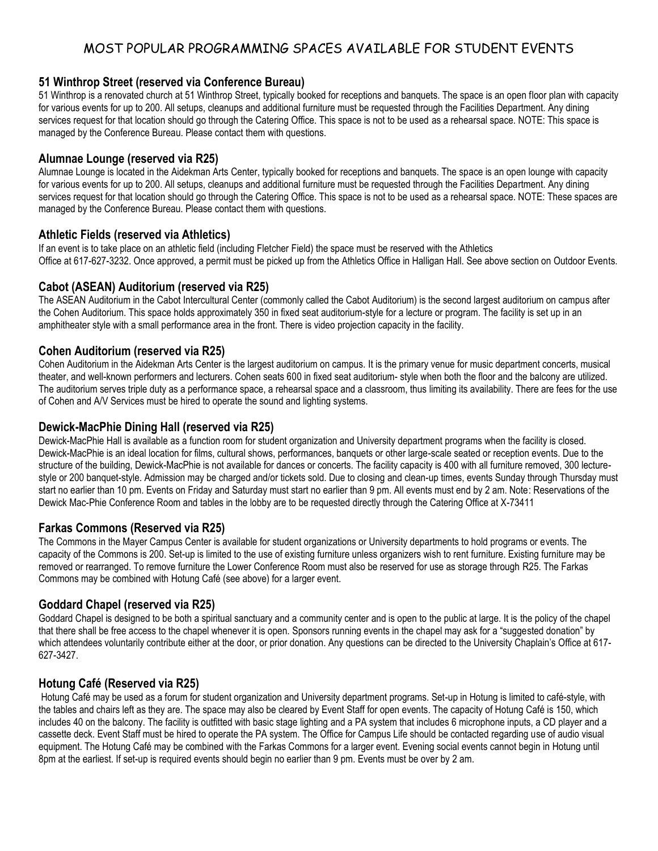# MOST POPULAR PROGRAMMING SPACES AVAILABLE FOR STUDENT EVENTS

# **51 Winthrop Street (reserved via Conference Bureau)**

51 Winthrop is a renovated church at 51 Winthrop Street, typically booked for receptions and banquets. The space is an open floor plan with capacity for various events for up to 200. All setups, cleanups and additional furniture must be requested through the Facilities Department. Any dining services request for that location should go through the Catering Office. This space is not to be used as a rehearsal space. NOTE: This space is managed by the Conference Bureau. Please contact them with questions.

# **Alumnae Lounge (reserved via R25)**

Alumnae Lounge is located in the Aidekman Arts Center, typically booked for receptions and banquets. The space is an open lounge with capacity for various events for up to 200. All setups, cleanups and additional furniture must be requested through the Facilities Department. Any dining services request for that location should go through the Catering Office. This space is not to be used as a rehearsal space. NOTE: These spaces are managed by the Conference Bureau. Please contact them with questions.

# **Athletic Fields (reserved via Athletics)**

If an event is to take place on an athletic field (including Fletcher Field) the space must be reserved with the Athletics Office at 617-627-3232. Once approved, a permit must be picked up from the Athletics Office in Halligan Hall. See above section on Outdoor Events.

# **Cabot (ASEAN) Auditorium (reserved via R25)**

The ASEAN Auditorium in the Cabot Intercultural Center (commonly called the Cabot Auditorium) is the second largest auditorium on campus after the Cohen Auditorium. This space holds approximately 350 in fixed seat auditorium-style for a lecture or program. The facility is set up in an amphitheater style with a small performance area in the front. There is video projection capacity in the facility.

### **Cohen Auditorium (reserved via R25)**

Cohen Auditorium in the Aidekman Arts Center is the largest auditorium on campus. It is the primary venue for music department concerts, musical theater, and well-known performers and lecturers. Cohen seats 600 in fixed seat auditorium- style when both the floor and the balcony are utilized. The auditorium serves triple duty as a performance space, a rehearsal space and a classroom, thus limiting its availability. There are fees for the use of Cohen and A/V Services must be hired to operate the sound and lighting systems.

### **Dewick-MacPhie Dining Hall (reserved via R25)**

Dewick-MacPhie Hall is available as a function room for student organization and University department programs when the facility is closed. Dewick-MacPhie is an ideal location for films, cultural shows, performances, banquets or other large-scale seated or reception events. Due to the structure of the building, Dewick-MacPhie is not available for dances or concerts. The facility capacity is 400 with all furniture removed, 300 lecturestyle or 200 banquet-style. Admission may be charged and/or tickets sold. Due to closing and clean-up times, events Sunday through Thursday must start no earlier than 10 pm. Events on Friday and Saturday must start no earlier than 9 pm. All events must end by 2 am. Note: Reservations of the Dewick Mac-Phie Conference Room and tables in the lobby are to be requested directly through the Catering Office at X-73411

### **Farkas Commons (Reserved via R25)**

The Commons in the Mayer Campus Center is available for student organizations or University departments to hold programs or events. The capacity of the Commons is 200. Set-up is limited to the use of existing furniture unless organizers wish to rent furniture. Existing furniture may be removed or rearranged. To remove furniture the Lower Conference Room must also be reserved for use as storage through R25. The Farkas Commons may be combined with Hotung Café (see above) for a larger event.

# **Goddard Chapel (reserved via R25)**

Goddard Chapel is designed to be both a spiritual sanctuary and a community center and is open to the public at large. It is the policy of the chapel that there shall be free access to the chapel whenever it is open. Sponsors running events in the chapel may ask for a "suggested donation" by which attendees voluntarily contribute either at the door, or prior donation. Any questions can be directed to the University Chaplain's Office at 617- 627-3427.

# **Hotung Café (Reserved via R25)**

Hotung Café may be used as a forum for student organization and University department programs. Set-up in Hotung is limited to café-style, with the tables and chairs left as they are. The space may also be cleared by Event Staff for open events. The capacity of Hotung Café is 150, which includes 40 on the balcony. The facility is outfitted with basic stage lighting and a PA system that includes 6 microphone inputs, a CD player and a cassette deck. Event Staff must be hired to operate the PA system. The Office for Campus Life should be contacted regarding use of audio visual equipment. The Hotung Café may be combined with the Farkas Commons for a larger event. Evening social events cannot begin in Hotung until 8pm at the earliest. If set-up is required events should begin no earlier than 9 pm. Events must be over by 2 am.